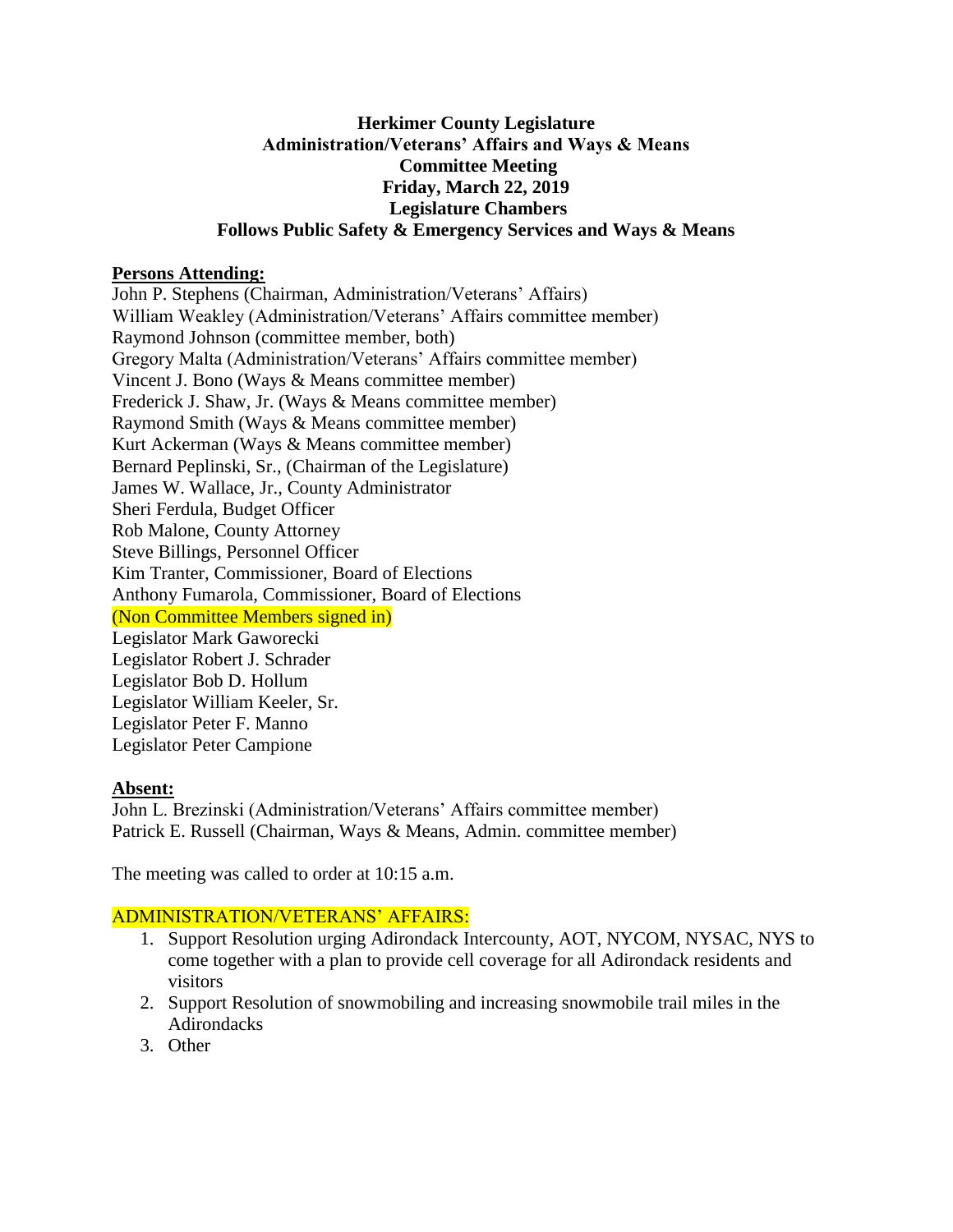### **Herkimer County Legislature Administration/Veterans' Affairs and Ways & Means Committee Meeting Friday, March 22, 2019 Legislature Chambers Follows Public Safety & Emergency Services and Ways & Means**

### **Persons Attending:**

John P. Stephens (Chairman, Administration/Veterans' Affairs) William Weakley (Administration/Veterans' Affairs committee member) Raymond Johnson (committee member, both) Gregory Malta (Administration/Veterans' Affairs committee member) Vincent J. Bono (Ways & Means committee member) Frederick J. Shaw, Jr. (Ways & Means committee member) Raymond Smith (Ways & Means committee member) Kurt Ackerman (Ways & Means committee member) Bernard Peplinski, Sr., (Chairman of the Legislature) James W. Wallace, Jr., County Administrator Sheri Ferdula, Budget Officer Rob Malone, County Attorney Steve Billings, Personnel Officer Kim Tranter, Commissioner, Board of Elections Anthony Fumarola, Commissioner, Board of Elections (Non Committee Members signed in) Legislator Mark Gaworecki Legislator Robert J. Schrader Legislator Bob D. Hollum Legislator William Keeler, Sr. Legislator Peter F. Manno Legislator Peter Campione

# **Absent:**

John L. Brezinski (Administration/Veterans' Affairs committee member) Patrick E. Russell (Chairman, Ways & Means, Admin. committee member)

The meeting was called to order at 10:15 a.m.

# ADMINISTRATION/VETERANS' AFFAIRS:

- 1. Support Resolution urging Adirondack Intercounty, AOT, NYCOM, NYSAC, NYS to come together with a plan to provide cell coverage for all Adirondack residents and visitors
- 2. Support Resolution of snowmobiling and increasing snowmobile trail miles in the Adirondacks
- 3. Other